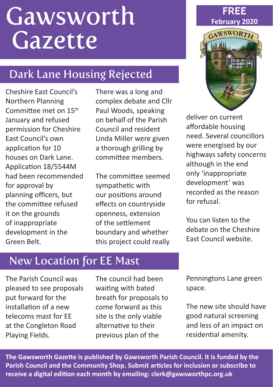# **Gawsworth Gazette**

# Dark Lane Housing Rejected

Cheshire East Council's Northern Planning Committee met on 15th January and refused permission for Cheshire East Council's own application for 10 houses on Dark Lane. Application 18/5544M had been recommended for approval by planning officers, but the committee refused it on the grounds of inappropriate development in the Green Belt.

There was a long and complex debate and Cllr Paul Woods, speaking on behalf of the Parish Council and resident Linda Miller were given a thorough grilling by committee members.

The committee seemed sympathetic with our positions around effects on countryside openness, extension of the settlement boundary and whether this project could really





deliver on current affordable housing need. Several councillors were energised by our highways safety concerns although in the end only 'inappropriate development' was recorded as the reason for refusal.

You can listen to the debate on the Cheshire East Council website.

## New Location for EE Mast

The Parish Council was pleased to see proposals put forward for the installation of a new telecoms mast for EE at the Congleton Road Playing Fields.

The council had been waiting with bated breath for proposals to come forward as this site is the only viable alternative to their previous plan of the

Penningtons Lane green space.

The new site should have good natural screening and less of an impact on residential amenity.

**The Gawsworth Gazette is published by Gawsworth Parish Council. It is funded by the Parish Council and the Community Shop. Submit articles for inclusion or subscribe to receive a digital edition each month by emailing: clerk@gawsworthpc.org.uk**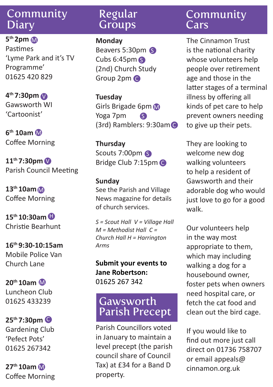#### Community **Diary**

**5th 2pm** M Pastimes 'Lyme Park and it's TV Programme' 01625 420 829

**4th 7:30pm** V Gawsworth WI 'Cartoonist'

**6th 10am** M Coffee Morning

**11th 7:30pm** V Parish Council Meeting

**13th 10am** M Coffee Morning

**15th 10:30am** H Christie Bearhunt

**16th 9:30-10:15am** Mobile Police Van Church Lane

**20th 10am** M Luncheon Club 01625 433239

**25th 7:30pm** C Gardening Club 'Pefect Pots' 01625 267342

**27th 10am** M Coffee Morning

#### Regular **Groups**

**Monday** Beavers 5:30pm S Cubs 6:45pm S (2nd) Church Study Group 2pm C

**Tuesday** Girls Brigade 6pm Yoga 7pm (3rd) Ramblers: 9:30am C S

**Thursday** Scouts 7:00pm S Bridge Club 7:15pm C

#### **Sunday** See the Parish and Village News magazine for details of church services.

*S = Scout Hall V = Village Hall M = Methodist Hall C = Church Hall H = Harrington Arms*

**Submit your events to Jane Robertson:**  01625 267 342

#### Gawsworth Parish Precept

Parish Councillors voted in January to maintain a level precept (the parish council share of Council Tax) at £34 for a Band D property.

#### Community **Cars**

The Cinnamon Trust is the national charity whose volunteers help people over retirement age and those in the latter stages of a terminal illness by offering all kinds of pet care to help prevent owners needing to give up their pets.

They are looking to welcome new dog walking volunteers to help a resident of Gawsworth and their adorable dog who would just love to go for a good walk.

Our volunteers help in the way most appropriate to them, which may including walking a dog for a housebound owner, foster pets when owners need hospital care, or fetch the cat food and clean out the bird cage.

If you would like to find out more just call direct on 01736 758707 or email appeals@ cinnamon.org.uk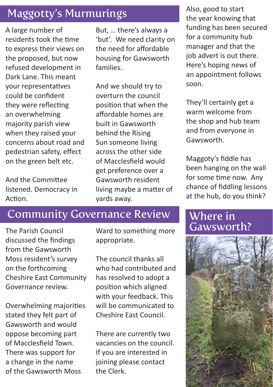### Maggotty's Murmurings

A large number of residents took the time to express their views on the proposed, but now refused development in Dark Lane. This meant your representatives could be confident they were reflecting an overwhelming majority parish view when they raised your concerns about road and pedestrian safety, effect on the green belt etc.

And the Committee listened. Democracy in Action.

But, … there's always a 'but'. We need clarity on the need for affordable housing for Gawsworth families.

And we should try to overturn the council position that when the affordable homes are built in Gawsworth behind the Rising Sun someone living across the other side of Macclesfield would get preference over a Gawsworth resident living maybe a matter of yards away.

#### Community Governance Review

discussed the findings from the Gawsworth Moss resident's survey on the forthcoming Cheshire East Community Governance review.

Overwhelming majorities stated they felt part of Gawsworth and would oppose becoming part of Macclesfield Town. There was support for a change in the name of the Gawsworth Moss

appropriate.

The council thanks all who had contributed and has resolved to adopt a position which aligned with your feedback. This will be communicated to Cheshire East Council.

There are currently two vacancies on the council. If you are interested in joining please contact the Clerk.

Also, good to start the year knowing that funding has been secured for a community hub manager and that the job advert is out there. Here's hoping news of an appointment follows soon.

They'll certainly get a warm welcome from the shop and hub team and from everyone in Gawsworth.

Maggoty's fiddle has been hanging on the wall for some time now. Any chance of fiddling lessons at the hub, do you think?

### Where in<br>Gawsworth? The Parish Council **Example 2 Ward to something more Gawsworth?**